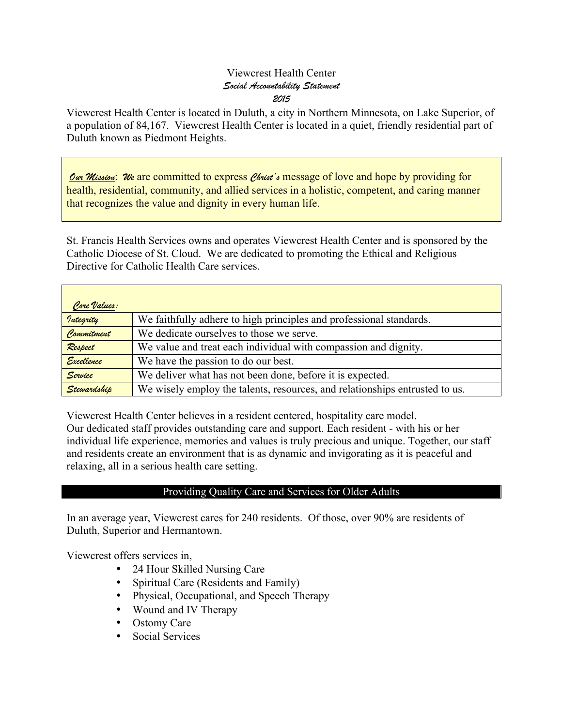### Viewcrest Health Center *Social Accountability Statement 2015*

Viewcrest Health Center is located in Duluth, a city in Northern Minnesota, on Lake Superior, of a population of 84,167. Viewcrest Health Center is located in a quiet, friendly residential part of Duluth known as Piedmont Heights.

*Our Mission*: *We* are committed to express *Christ's* message of love and hope by providing for health, residential, community, and allied services in a holistic, competent, and caring manner that recognizes the value and dignity in every human life.

St. Francis Health Services owns and operates Viewcrest Health Center and is sponsored by the Catholic Diocese of St. Cloud. We are dedicated to promoting the Ethical and Religious Directive for Catholic Health Care services.

| Core Values: |                                                                             |
|--------------|-----------------------------------------------------------------------------|
| Integrity    | We faithfully adhere to high principles and professional standards.         |
| Commitment   | We dedicate ourselves to those we serve.                                    |
| Respect      | We value and treat each individual with compassion and dignity.             |
| Excellence   | We have the passion to do our best.                                         |
| Service      | We deliver what has not been done, before it is expected.                   |
| Stewardship  | We wisely employ the talents, resources, and relationships entrusted to us. |

Viewcrest Health Center believes in a resident centered, hospitality care model. Our dedicated staff provides outstanding care and support. Each resident - with his or her individual life experience, memories and values is truly precious and unique. Together, our staff and residents create an environment that is as dynamic and invigorating as it is peaceful and relaxing, all in a serious health care setting.

## Providing Quality Care and Services for Older Adults

In an average year, Viewcrest cares for 240 residents. Of those, over 90% are residents of Duluth, Superior and Hermantown.

Viewcrest offers services in,

- 24 Hour Skilled Nursing Care
- Spiritual Care (Residents and Family)
- Physical, Occupational, and Speech Therapy
- Wound and IV Therapy
- Ostomy Care
- Social Services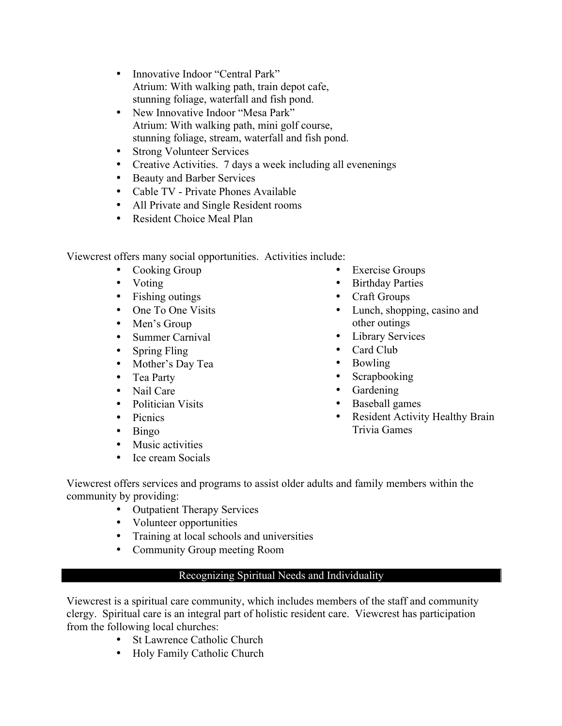- Innovative Indoor "Central Park" Atrium: With walking path, train depot cafe, stunning foliage, waterfall and fish pond.
- New Innovative Indoor "Mesa Park" Atrium: With walking path, mini golf course, stunning foliage, stream, waterfall and fish pond.
- Strong Volunteer Services
- Creative Activities. 7 days a week including all evenenings
- Beauty and Barber Services
- Cable TV Private Phones Available
- All Private and Single Resident rooms
- Resident Choice Meal Plan

Viewcrest offers many social opportunities. Activities include:

- Cooking Group
- Voting
- Fishing outings
- One To One Visits
- Men's Group
- Summer Carnival
- Spring Fling
- Mother's Day Tea
- Tea Party
- Nail Care
- Politician Visits
- Picnics
- Bingo
- Music activities
- Ice cream Socials
- Exercise Groups
- Birthday Parties
- Craft Groups
- Lunch, shopping, casino and other outings
- Library Services
- Card Club
- Bowling
- Scrapbooking
- Gardening
- Baseball games
- Resident Activity Healthy Brain Trivia Games

Viewcrest offers services and programs to assist older adults and family members within the community by providing:

- Outpatient Therapy Services
- Volunteer opportunities
- Training at local schools and universities
- Community Group meeting Room

# Recognizing Spiritual Needs and Individuality

Viewcrest is a spiritual care community, which includes members of the staff and community clergy. Spiritual care is an integral part of holistic resident care. Viewcrest has participation from the following local churches:

- St Lawrence Catholic Church
- Holy Family Catholic Church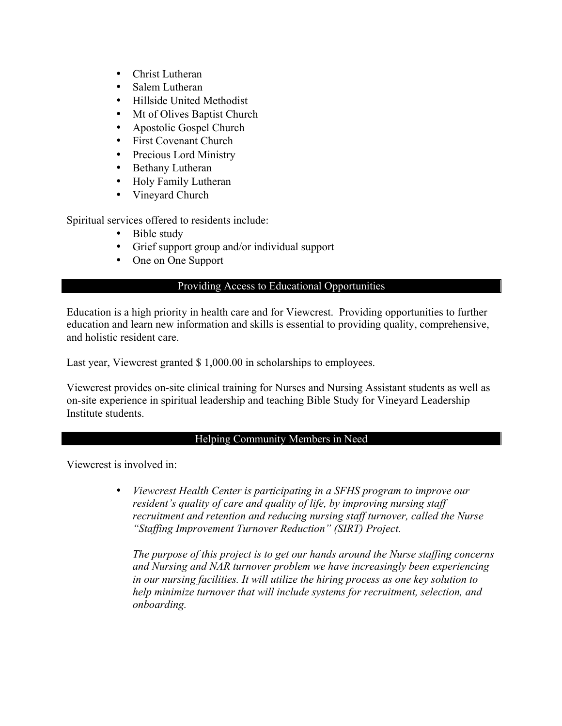- Christ Lutheran
- Salem Lutheran
- Hillside United Methodist
- Mt of Olives Baptist Church
- Apostolic Gospel Church
- First Covenant Church
- Precious Lord Ministry
- Bethany Lutheran
- Holy Family Lutheran
- Vineyard Church

Spiritual services offered to residents include:

- Bible study
- Grief support group and/or individual support
- One on One Support

#### Providing Access to Educational Opportunities

Education is a high priority in health care and for Viewcrest. Providing opportunities to further education and learn new information and skills is essential to providing quality, comprehensive, and holistic resident care.

Last year, Viewcrest granted \$ 1,000.00 in scholarships to employees.

Viewcrest provides on-site clinical training for Nurses and Nursing Assistant students as well as on-site experience in spiritual leadership and teaching Bible Study for Vineyard Leadership Institute students.

# Helping Community Members in Need

Viewcrest is involved in:

• *Viewcrest Health Center is participating in a SFHS program to improve our resident's quality of care and quality of life, by improving nursing staff recruitment and retention and reducing nursing staff turnover, called the Nurse "Staffing Improvement Turnover Reduction" (SIRT) Project.*

*The purpose of this project is to get our hands around the Nurse staffing concerns and Nursing and NAR turnover problem we have increasingly been experiencing in our nursing facilities. It will utilize the hiring process as one key solution to help minimize turnover that will include systems for recruitment, selection, and onboarding.*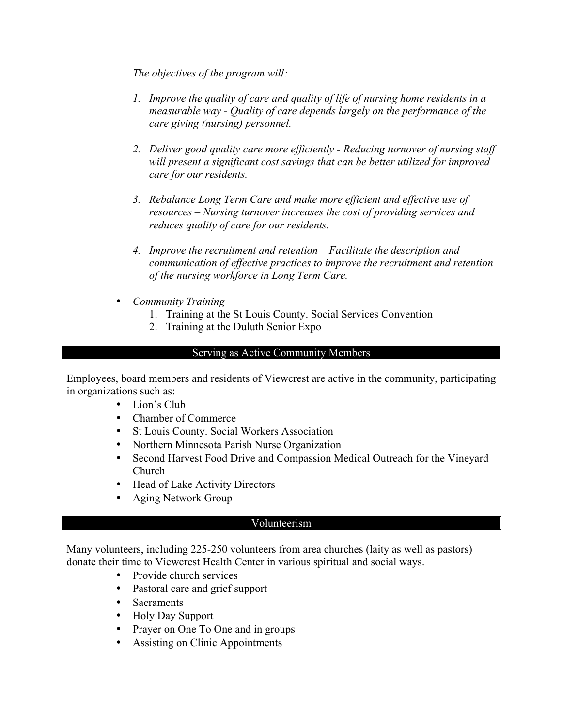*The objectives of the program will:*

- *1. Improve the quality of care and quality of life of nursing home residents in a measurable way - Quality of care depends largely on the performance of the care giving (nursing) personnel.*
- *2. Deliver good quality care more efficiently - Reducing turnover of nursing staff will present a significant cost savings that can be better utilized for improved care for our residents.*
- *3. Rebalance Long Term Care and make more efficient and effective use of resources – Nursing turnover increases the cost of providing services and reduces quality of care for our residents.*
- *4. Improve the recruitment and retention – Facilitate the description and communication of effective practices to improve the recruitment and retention of the nursing workforce in Long Term Care.*
- *Community Training*
	- 1. Training at the St Louis County. Social Services Convention
	- 2. Training at the Duluth Senior Expo

#### Serving as Active Community Members

Employees, board members and residents of Viewcrest are active in the community, participating in organizations such as:

- Lion's Club
- Chamber of Commerce
- St Louis County. Social Workers Association
- Northern Minnesota Parish Nurse Organization
- Second Harvest Food Drive and Compassion Medical Outreach for the Vineyard Church
- Head of Lake Activity Directors
- Aging Network Group

## Volunteerism

Many volunteers, including 225-250 volunteers from area churches (laity as well as pastors) donate their time to Viewcrest Health Center in various spiritual and social ways.

- Provide church services
- Pastoral care and grief support
- Sacraments
- Holy Day Support
- Prayer on One To One and in groups
- Assisting on Clinic Appointments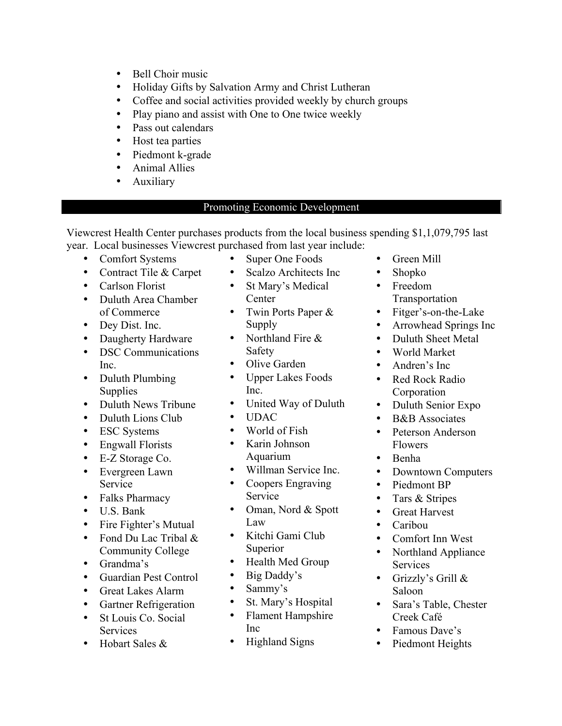- Bell Choir music
- Holiday Gifts by Salvation Army and Christ Lutheran
- Coffee and social activities provided weekly by church groups
- Play piano and assist with One to One twice weekly<br>• Pass out calendars
- Pass out calendars
- Host tea parties
- Piedmont k-grade
- Animal Allies
- **Auxiliary**

## Promoting Economic Development

Viewcrest Health Center purchases products from the local business spending \$1,1,079,795 last year. Local businesses Viewcrest purchased from last year include:

- Comfort Systems
- Contract Tile & Carpet
- Carlson Florist
- Duluth Area Chamber of Commerce
- Dey Dist. Inc.
- Daugherty Hardware
- DSC Communications Inc.
- Duluth Plumbing Supplies
- Duluth News Tribune
- Duluth Lions Club
- ESC Systems
- Engwall Florists
- E-Z Storage Co.
- Evergreen Lawn Service
- Falks Pharmacy
- U.S. Bank
- Fire Fighter's Mutual
- Fond Du Lac Tribal & Community College
- Grandma's
- Guardian Pest Control
- Great Lakes Alarm
- Gartner Refrigeration
- St Louis Co. Social **Services**
- Hobart Sales &
- Super One Foods
- Scalzo Architects Inc
- St Mary's Medical **Center**
- Twin Ports Paper & Supply
- Northland Fire & Safety
- Olive Garden
- Upper Lakes Foods Inc.
- United Way of Duluth
- UDAC
- World of Fish
- Karin Johnson Aquarium
- Willman Service Inc.
- Coopers Engraving Service
- Oman, Nord & Spott Law
- Kitchi Gami Club Superior
- Health Med Group
- Big Daddy's
- Sammy's
- St. Mary's Hospital
- Flament Hampshire Inc
- Highland Signs
- Green Mill
- Shopko
- Freedom **Transportation**
- Fitger's-on-the-Lake
- Arrowhead Springs Inc
- Duluth Sheet Metal
- World Market
- Andren's Inc
- Red Rock Radio Corporation
- Duluth Senior Expo
- B&B Associates
- Peterson Anderson Flowers
- Benha
- Downtown Computers
- Piedmont BP
- Tars & Stripes
- Great Harvest
- Caribou
- Comfort Inn West
- Northland Appliance Services
- Grizzly's Grill & Saloon
- Sara's Table, Chester Creek Café
- Famous Dave's
- Piedmont Heights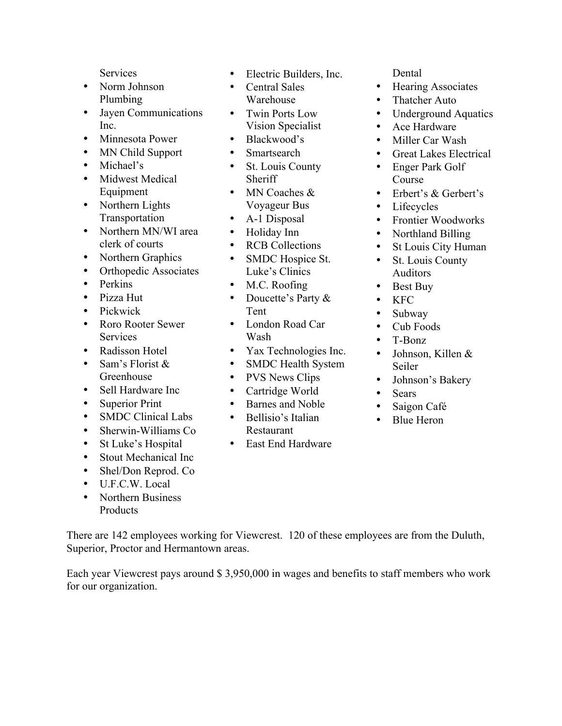**Services** 

- Norm Johnson Plumbing
- Jayen Communications Inc.
- Minnesota Power
- MN Child Support
- Michael's
- Midwest Medical Equipment
- Northern Lights Transportation
- Northern MN/WI area clerk of courts
- Northern Graphics
- Orthopedic Associates
- Perkins
- Pizza Hut
- Pickwick
- Roro Rooter Sewer **Services**
- Radisson Hotel
- Sam's Florist & Greenhouse
- Sell Hardware Inc
- Superior Print
- SMDC Clinical Labs
- Sherwin-Williams Co
- St Luke's Hospital
- Stout Mechanical Inc
- Shel/Don Reprod. Co
- U.F.C.W. Local
- Northern Business **Products**
- Electric Builders, Inc.
- Central Sales Warehouse
- Twin Ports Low Vision Specialist
- Blackwood's
- Smartsearch
- St. Louis County **Sheriff**
- MN Coaches & Voyageur Bus
- A-1 Disposal
- Holiday Inn
- **RCB Collections**
- SMDC Hospice St. Luke's Clinics
- M.C. Roofing
- Doucette's Party & Tent
- London Road Car Wash
- Yax Technologies Inc.
- SMDC Health System
- PVS News Clips
- Cartridge World
- Barnes and Noble
- Bellisio's Italian
- Restaurant
- East End Hardware

Dental

- Hearing Associates
- Thatcher Auto
- Underground Aquatics
- Ace Hardware
- Miller Car Wash
- Great Lakes Electrical
- Enger Park Golf Course
- Erbert's & Gerbert's
- Lifecycles
- Frontier Woodworks
- Northland Billing
- St Louis City Human
- St. Louis County Auditors
- Best Buy
- KFC
- Subway
- Cub Foods
- T-Bonz
- Johnson, Killen & Seiler
- Johnson's Bakery
- Sears
- Saigon Café
- Blue Heron

There are 142 employees working for Viewcrest. 120 of these employees are from the Duluth, Superior, Proctor and Hermantown areas.

Each year Viewcrest pays around \$ 3,950,000 in wages and benefits to staff members who work for our organization.